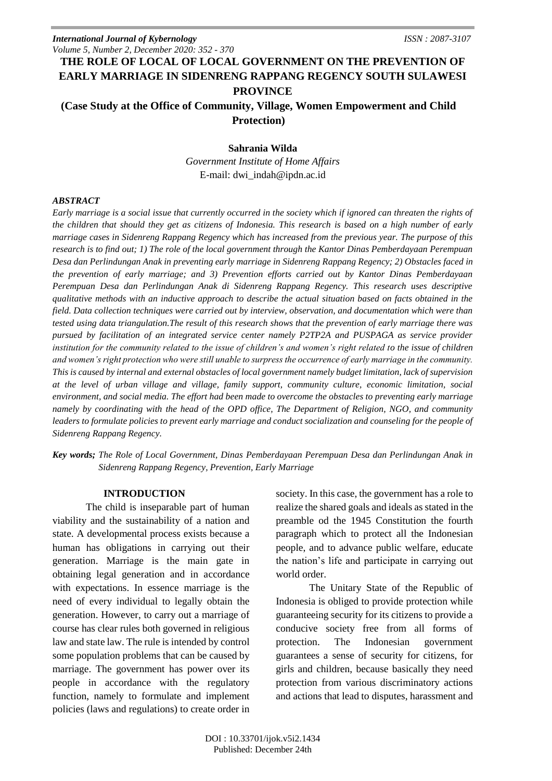# **THE ROLE OF LOCAL OF LOCAL GOVERNMENT ON THE PREVENTION OF EARLY MARRIAGE IN SIDENRENG RAPPANG REGENCY SOUTH SULAWESI PROVINCE**

## **(Case Study at the Office of Community, Village, Women Empowerment and Child Protection)**

## **Sahrania Wilda**

*Government Institute of Home Affairs* E-mail: dwi\_indah@ipdn.ac.id

## *ABSTRACT*

*Early marriage is a social issue that currently occurred in the society which if ignored can threaten the rights of the children that should they get as citizens of Indonesia. This research is based on a high number of early marriage cases in Sidenreng Rappang Regency which has increased from the previous year. The purpose of this research is to find out; 1) The role of the local government through the Kantor Dinas Pemberdayaan Perempuan Desa dan Perlindungan Anak in preventing early marriage in Sidenreng Rappang Regency; 2) Obstacles faced in the prevention of early marriage; and 3) Prevention efforts carried out by Kantor Dinas Pemberdayaan Perempuan Desa dan Perlindungan Anak di Sidenreng Rappang Regency. This research uses descriptive qualitative methods with an inductive approach to describe the actual situation based on facts obtained in the field. Data collection techniques were carried out by interview, observation, and documentation which were than tested using data triangulation.The result of this research shows that the prevention of early marriage there was pursued by facilitation of an integrated service center namely P2TP2A and PUSPAGA as service provider institution for the community related to the issue of children's and women's right related to the issue of children and women's right protection who were still unable to surpress the occurrence of early marriage in the community. This is caused by internal and external obstacles of local government namely budget limitation, lack of supervision at the level of urban village and village, family support, community culture, economic limitation, social environment, and social media. The effort had been made to overcome the obstacles to preventing early marriage namely by coordinating with the head of the OPD office, The Department of Religion, NGO, and community*  leaders to formulate policies to prevent early marriage and conduct socialization and counseling for the people of *Sidenreng Rappang Regency.*

*Key words; The Role of Local Government, Dinas Pemberdayaan Perempuan Desa dan Perlindungan Anak in Sidenreng Rappang Regency, Prevention, Early Marriage*

## **INTRODUCTION**

The child is inseparable part of human viability and the sustainability of a nation and state. A developmental process exists because a human has obligations in carrying out their generation. Marriage is the main gate in obtaining legal generation and in accordance with expectations. In essence marriage is the need of every individual to legally obtain the generation. However, to carry out a marriage of course has clear rules both governed in religious law and state law. The rule is intended by control some population problems that can be caused by marriage. The government has power over its people in accordance with the regulatory function, namely to formulate and implement policies (laws and regulations) to create order in

society. In this case, the government has a role to realize the shared goals and ideals as stated in the preamble od the 1945 Constitution the fourth paragraph which to protect all the Indonesian people, and to advance public welfare, educate the nation's life and participate in carrying out world order.

The Unitary State of the Republic of Indonesia is obliged to provide protection while guaranteeing security for its citizens to provide a conducive society free from all forms of protection. The Indonesian government guarantees a sense of security for citizens, for girls and children, because basically they need protection from various discriminatory actions and actions that lead to disputes, harassment and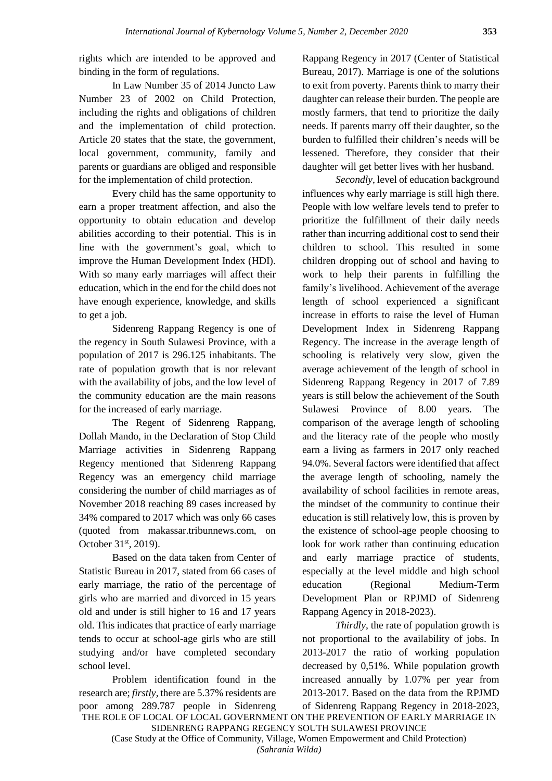rights which are intended to be approved and binding in the form of regulations.

In Law Number 35 of 2014 Juncto Law Number 23 of 2002 on Child Protection, including the rights and obligations of children and the implementation of child protection. Article 20 states that the state, the government, local government, community, family and parents or guardians are obliged and responsible for the implementation of child protection.

Every child has the same opportunity to earn a proper treatment affection, and also the opportunity to obtain education and develop abilities according to their potential. This is in line with the government's goal, which to improve the Human Development Index (HDI). With so many early marriages will affect their education, which in the end for the child does not have enough experience, knowledge, and skills to get a job.

Sidenreng Rappang Regency is one of the regency in South Sulawesi Province, with a population of 2017 is 296.125 inhabitants. The rate of population growth that is nor relevant with the availability of jobs, and the low level of the community education are the main reasons for the increased of early marriage.

The Regent of Sidenreng Rappang, Dollah Mando, in the Declaration of Stop Child Marriage activities in Sidenreng Rappang Regency mentioned that Sidenreng Rappang Regency was an emergency child marriage considering the number of child marriages as of November 2018 reaching 89 cases increased by 34% compared to 2017 which was only 66 cases (quoted from makassar.tribunnews.com, on October 31<sup>st</sup>, 2019).

Based on the data taken from Center of Statistic Bureau in 2017, stated from 66 cases of early marriage, the ratio of the percentage of girls who are married and divorced in 15 years old and under is still higher to 16 and 17 years old. This indicates that practice of early marriage tends to occur at school-age girls who are still studying and/or have completed secondary school level.

Problem identification found in the research are; *firstly*, there are 5.37% residents are poor among 289.787 people in Sidenreng Rappang Regency in 2017 (Center of Statistical Bureau, 2017). Marriage is one of the solutions to exit from poverty. Parents think to marry their daughter can release their burden. The people are mostly farmers, that tend to prioritize the daily needs. If parents marry off their daughter, so the burden to fulfilled their children's needs will be lessened. Therefore, they consider that their daughter will get better lives with her husband.

*Secondly*, level of education background influences why early marriage is still high there. People with low welfare levels tend to prefer to prioritize the fulfillment of their daily needs rather than incurring additional cost to send their children to school. This resulted in some children dropping out of school and having to work to help their parents in fulfilling the family's livelihood. Achievement of the average length of school experienced a significant increase in efforts to raise the level of Human Development Index in Sidenreng Rappang Regency. The increase in the average length of schooling is relatively very slow, given the average achievement of the length of school in Sidenreng Rappang Regency in 2017 of 7.89 years is still below the achievement of the South Sulawesi Province of 8.00 years. The comparison of the average length of schooling and the literacy rate of the people who mostly earn a living as farmers in 2017 only reached 94.0%. Several factors were identified that affect the average length of schooling, namely the availability of school facilities in remote areas, the mindset of the community to continue their education is still relatively low, this is proven by the existence of school-age people choosing to look for work rather than continuing education and early marriage practice of students, especially at the level middle and high school education (Regional Medium-Term Development Plan or RPJMD of Sidenreng Rappang Agency in 2018-2023).

*Thirdly*, the rate of population growth is not proportional to the availability of jobs. In 2013-2017 the ratio of working population decreased by 0,51%. While population growth increased annually by 1.07% per year from 2013-2017. Based on the data from the RPJMD of Sidenreng Rappang Regency in 2018-2023,

THE ROLE OF LOCAL OF LOCAL GOVERNMENT ON THE PREVENTION OF EARLY MARRIAGE IN SIDENRENG RAPPANG REGENCY SOUTH SULAWESI PROVINCE

(Case Study at the Office of Community, Village, Women Empowerment and Child Protection) *(Sahrania Wilda)*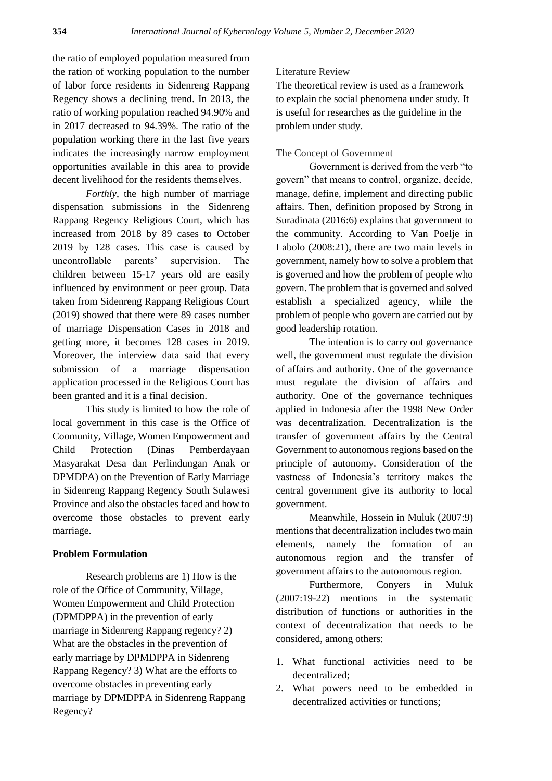the ratio of employed population measured from the ration of working population to the number of labor force residents in Sidenreng Rappang Regency shows a declining trend. In 2013, the ratio of working population reached 94.90% and in 2017 decreased to 94.39%. The ratio of the population working there in the last five years indicates the increasingly narrow employment opportunities available in this area to provide decent livelihood for the residents themselves.

*Forthly*, the high number of marriage dispensation submissions in the Sidenreng Rappang Regency Religious Court, which has increased from 2018 by 89 cases to October 2019 by 128 cases. This case is caused by uncontrollable parents' supervision. The children between 15-17 years old are easily influenced by environment or peer group. Data taken from Sidenreng Rappang Religious Court (2019) showed that there were 89 cases number of marriage Dispensation Cases in 2018 and getting more, it becomes 128 cases in 2019. Moreover, the interview data said that every submission of a marriage dispensation application processed in the Religious Court has been granted and it is a final decision.

This study is limited to how the role of local government in this case is the Office of Coomunity, Village, Women Empowerment and Child Protection (Dinas Pemberdayaan Masyarakat Desa dan Perlindungan Anak or DPMDPA) on the Prevention of Early Marriage in Sidenreng Rappang Regency South Sulawesi Province and also the obstacles faced and how to overcome those obstacles to prevent early marriage.

## **Problem Formulation**

Research problems are 1) How is the role of the Office of Community, Village, Women Empowerment and Child Protection (DPMDPPA) in the prevention of early marriage in Sidenreng Rappang regency? 2) What are the obstacles in the prevention of early marriage by DPMDPPA in Sidenreng Rappang Regency? 3) What are the efforts to overcome obstacles in preventing early marriage by DPMDPPA in Sidenreng Rappang Regency?

## Literature Review

The theoretical review is used as a framework to explain the social phenomena under study. It is useful for researches as the guideline in the problem under study.

## The Concept of Government

Government is derived from the verb "to govern" that means to control, organize, decide, manage, define, implement and directing public affairs. Then, definition proposed by Strong in Suradinata (2016:6) explains that government to the community. According to Van Poelje in Labolo (2008:21), there are two main levels in government, namely how to solve a problem that is governed and how the problem of people who govern. The problem that is governed and solved establish a specialized agency, while the problem of people who govern are carried out by good leadership rotation.

The intention is to carry out governance well, the government must regulate the division of affairs and authority. One of the governance must regulate the division of affairs and authority. One of the governance techniques applied in Indonesia after the 1998 New Order was decentralization. Decentralization is the transfer of government affairs by the Central Government to autonomous regions based on the principle of autonomy. Consideration of the vastness of Indonesia's territory makes the central government give its authority to local government.

Meanwhile, Hossein in Muluk (2007:9) mentions that decentralization includes two main elements, namely the formation of an autonomous region and the transfer of government affairs to the autonomous region.

Furthermore, Conyers in Muluk (2007:19-22) mentions in the systematic distribution of functions or authorities in the context of decentralization that needs to be considered, among others:

- 1. What functional activities need to be decentralized;
- 2. What powers need to be embedded in decentralized activities or functions;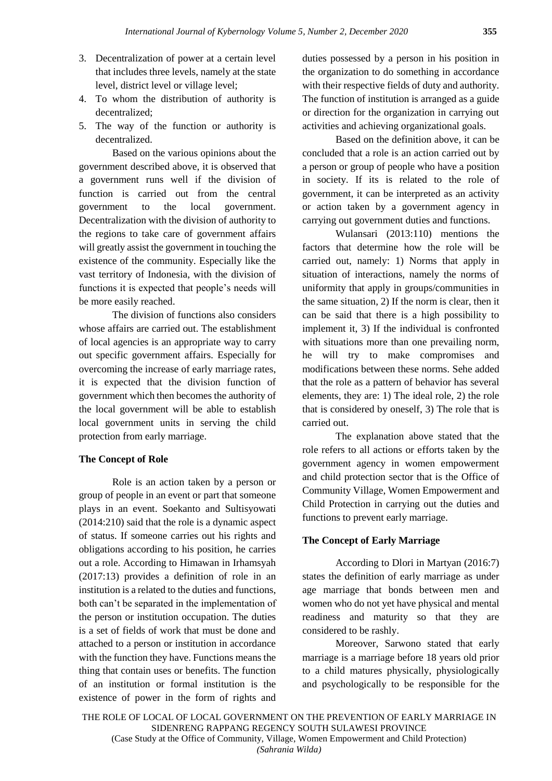- 3. Decentralization of power at a certain level that includes three levels, namely at the state level, district level or village level;
- 4. To whom the distribution of authority is decentralized;
- 5. The way of the function or authority is decentralized.

Based on the various opinions about the government described above, it is observed that a government runs well if the division of function is carried out from the central government to the local government. Decentralization with the division of authority to the regions to take care of government affairs will greatly assist the government in touching the existence of the community. Especially like the vast territory of Indonesia, with the division of functions it is expected that people's needs will be more easily reached.

The division of functions also considers whose affairs are carried out. The establishment of local agencies is an appropriate way to carry out specific government affairs. Especially for overcoming the increase of early marriage rates, it is expected that the division function of government which then becomes the authority of the local government will be able to establish local government units in serving the child protection from early marriage.

#### **The Concept of Role**

Role is an action taken by a person or group of people in an event or part that someone plays in an event. Soekanto and Sultisyowati (2014:210) said that the role is a dynamic aspect of status. If someone carries out his rights and obligations according to his position, he carries out a role. According to Himawan in Irhamsyah (2017:13) provides a definition of role in an institution is a related to the duties and functions, both can't be separated in the implementation of the person or institution occupation. The duties is a set of fields of work that must be done and attached to a person or institution in accordance with the function they have. Functions means the thing that contain uses or benefits. The function of an institution or formal institution is the existence of power in the form of rights and duties possessed by a person in his position in the organization to do something in accordance with their respective fields of duty and authority. The function of institution is arranged as a guide or direction for the organization in carrying out activities and achieving organizational goals.

Based on the definition above, it can be concluded that a role is an action carried out by a person or group of people who have a position in society. If its is related to the role of government, it can be interpreted as an activity or action taken by a government agency in carrying out government duties and functions.

Wulansari (2013:110) mentions the factors that determine how the role will be carried out, namely: 1) Norms that apply in situation of interactions, namely the norms of uniformity that apply in groups/communities in the same situation, 2) If the norm is clear, then it can be said that there is a high possibility to implement it, 3) If the individual is confronted with situations more than one prevailing norm, he will try to make compromises and modifications between these norms. Sehe added that the role as a pattern of behavior has several elements, they are: 1) The ideal role, 2) the role that is considered by oneself, 3) The role that is carried out.

The explanation above stated that the role refers to all actions or efforts taken by the government agency in women empowerment and child protection sector that is the Office of Community Village, Women Empowerment and Child Protection in carrying out the duties and functions to prevent early marriage.

## **The Concept of Early Marriage**

According to Dlori in Martyan (2016:7) states the definition of early marriage as under age marriage that bonds between men and women who do not yet have physical and mental readiness and maturity so that they are considered to be rashly.

Moreover, Sarwono stated that early marriage is a marriage before 18 years old prior to a child matures physically, physiologically and psychologically to be responsible for the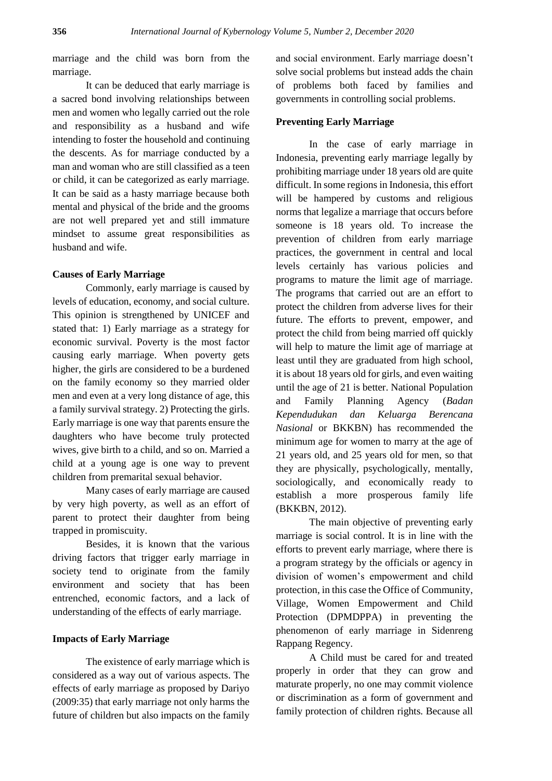marriage and the child was born from the marriage.

It can be deduced that early marriage is a sacred bond involving relationships between men and women who legally carried out the role and responsibility as a husband and wife intending to foster the household and continuing the descents. As for marriage conducted by a man and woman who are still classified as a teen or child, it can be categorized as early marriage. It can be said as a hasty marriage because both mental and physical of the bride and the grooms are not well prepared yet and still immature mindset to assume great responsibilities as husband and wife.

## **Causes of Early Marriage**

Commonly, early marriage is caused by levels of education, economy, and social culture. This opinion is strengthened by UNICEF and stated that: 1) Early marriage as a strategy for economic survival. Poverty is the most factor causing early marriage. When poverty gets higher, the girls are considered to be a burdened on the family economy so they married older men and even at a very long distance of age, this a family survival strategy. 2) Protecting the girls. Early marriage is one way that parents ensure the daughters who have become truly protected wives, give birth to a child, and so on. Married a child at a young age is one way to prevent children from premarital sexual behavior.

Many cases of early marriage are caused by very high poverty, as well as an effort of parent to protect their daughter from being trapped in promiscuity.

Besides, it is known that the various driving factors that trigger early marriage in society tend to originate from the family environment and society that has been entrenched, economic factors, and a lack of understanding of the effects of early marriage.

## **Impacts of Early Marriage**

The existence of early marriage which is considered as a way out of various aspects. The effects of early marriage as proposed by Dariyo (2009:35) that early marriage not only harms the future of children but also impacts on the family and social environment. Early marriage doesn't solve social problems but instead adds the chain of problems both faced by families and governments in controlling social problems.

#### **Preventing Early Marriage**

In the case of early marriage in Indonesia, preventing early marriage legally by prohibiting marriage under 18 years old are quite difficult. In some regions in Indonesia, this effort will be hampered by customs and religious norms that legalize a marriage that occurs before someone is 18 years old. To increase the prevention of children from early marriage practices, the government in central and local levels certainly has various policies and programs to mature the limit age of marriage. The programs that carried out are an effort to protect the children from adverse lives for their future. The efforts to prevent, empower, and protect the child from being married off quickly will help to mature the limit age of marriage at least until they are graduated from high school, it is about 18 years old for girls, and even waiting until the age of 21 is better. National Population and Family Planning Agency (*Badan Kependudukan dan Keluarga Berencana Nasional* or BKKBN) has recommended the minimum age for women to marry at the age of 21 years old, and 25 years old for men, so that they are physically, psychologically, mentally, sociologically, and economically ready to establish a more prosperous family life (BKKBN, 2012).

The main objective of preventing early marriage is social control. It is in line with the efforts to prevent early marriage, where there is a program strategy by the officials or agency in division of women's empowerment and child protection, in this case the Office of Community, Village, Women Empowerment and Child Protection (DPMDPPA) in preventing the phenomenon of early marriage in Sidenreng Rappang Regency.

A Child must be cared for and treated properly in order that they can grow and maturate properly, no one may commit violence or discrimination as a form of government and family protection of children rights. Because all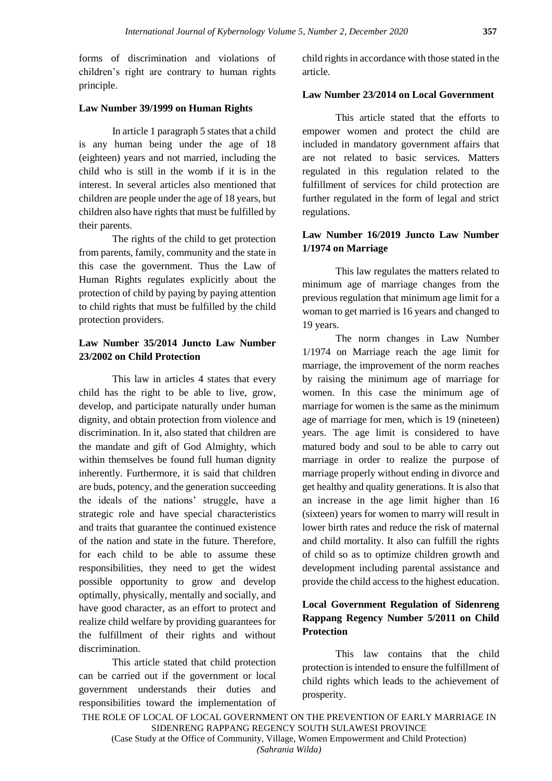forms of discrimination and violations of children's right are contrary to human rights principle.

## **Law Number 39/1999 on Human Rights**

In article 1 paragraph 5 states that a child is any human being under the age of 18 (eighteen) years and not married, including the child who is still in the womb if it is in the interest. In several articles also mentioned that children are people under the age of 18 years, but children also have rights that must be fulfilled by their parents.

The rights of the child to get protection from parents, family, community and the state in this case the government. Thus the Law of Human Rights regulates explicitly about the protection of child by paying by paying attention to child rights that must be fulfilled by the child protection providers.

## **Law Number 35/2014 Juncto Law Number 23/2002 on Child Protection**

This law in articles 4 states that every child has the right to be able to live, grow, develop, and participate naturally under human dignity, and obtain protection from violence and discrimination. In it, also stated that children are the mandate and gift of God Almighty, which within themselves be found full human dignity inherently. Furthermore, it is said that children are buds, potency, and the generation succeeding the ideals of the nations' struggle, have a strategic role and have special characteristics and traits that guarantee the continued existence of the nation and state in the future. Therefore, for each child to be able to assume these responsibilities, they need to get the widest possible opportunity to grow and develop optimally, physically, mentally and socially, and have good character, as an effort to protect and realize child welfare by providing guarantees for the fulfillment of their rights and without discrimination.

This article stated that child protection can be carried out if the government or local government understands their duties and responsibilities toward the implementation of child rights in accordance with those stated in the article.

## **Law Number 23/2014 on Local Government**

This article stated that the efforts to empower women and protect the child are included in mandatory government affairs that are not related to basic services. Matters regulated in this regulation related to the fulfillment of services for child protection are further regulated in the form of legal and strict regulations.

## **Law Number 16/2019 Juncto Law Number 1/1974 on Marriage**

This law regulates the matters related to minimum age of marriage changes from the previous regulation that minimum age limit for a woman to get married is 16 years and changed to 19 years.

The norm changes in Law Number 1/1974 on Marriage reach the age limit for marriage, the improvement of the norm reaches by raising the minimum age of marriage for women. In this case the minimum age of marriage for women is the same as the minimum age of marriage for men, which is 19 (nineteen) years. The age limit is considered to have matured body and soul to be able to carry out marriage in order to realize the purpose of marriage properly without ending in divorce and get healthy and quality generations. It is also that an increase in the age limit higher than 16 (sixteen) years for women to marry will result in lower birth rates and reduce the risk of maternal and child mortality. It also can fulfill the rights of child so as to optimize children growth and development including parental assistance and provide the child access to the highest education.

## **Local Government Regulation of Sidenreng Rappang Regency Number 5/2011 on Child Protection**

This law contains that the child protection is intended to ensure the fulfillment of child rights which leads to the achievement of prosperity.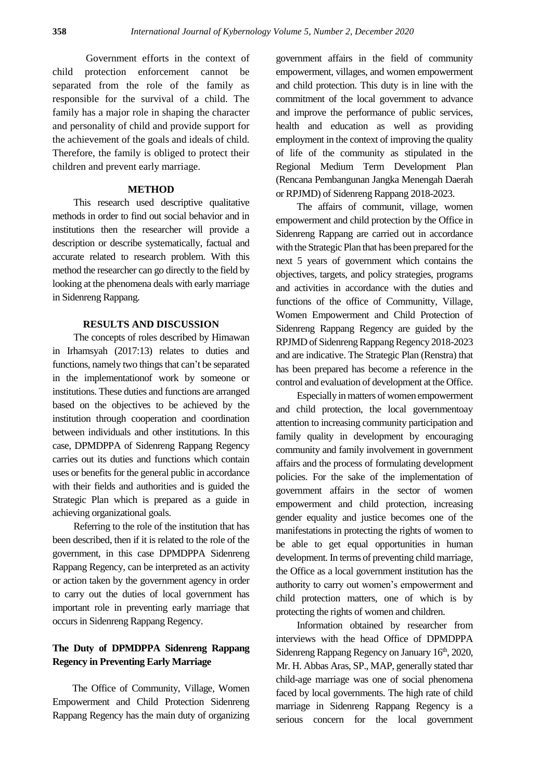Government efforts in the context of child protection enforcement cannot be separated from the role of the family as responsible for the survival of a child. The family has a major role in shaping the character and personality of child and provide support for the achievement of the goals and ideals of child. Therefore, the family is obliged to protect their children and prevent early marriage.

### **METHOD**

This research used descriptive qualitative methods in order to find out social behavior and in institutions then the researcher will provide a description or describe systematically, factual and accurate related to research problem. With this method the researcher can go directly to the field by looking at the phenomena deals with early marriage in Sidenreng Rappang.

#### **RESULTS AND DISCUSSION**

The concepts of roles described by Himawan in Irhamsyah (2017:13) relates to duties and functions, namely two things that can't be separated in the implementationof work by someone or institutions. These duties and functions are arranged based on the objectives to be achieved by the institution through cooperation and coordination between individuals and other institutions. In this case, DPMDPPA of Sidenreng Rappang Regency carries out its duties and functions which contain uses or benefits for the general public in accordance with their fields and authorities and is guided the Strategic Plan which is prepared as a guide in achieving organizational goals.

Referring to the role of the institution that has been described, then if it is related to the role of the government, in this case DPMDPPA Sidenreng Rappang Regency, can be interpreted as an activity or action taken by the government agency in order to carry out the duties of local government has important role in preventing early marriage that occurs in Sidenreng Rappang Regency.

## **The Duty of DPMDPPA Sidenreng Rappang Regency in Preventing Early Marriage**

The Office of Community, Village, Women Empowerment and Child Protection Sidenreng Rappang Regency has the main duty of organizing

government affairs in the field of community empowerment, villages, and women empowerment and child protection. This duty is in line with the commitment of the local government to advance and improve the performance of public services, health and education as well as providing employment in the context of improving the quality of life of the community as stipulated in the Regional Medium Term Development Plan (Rencana Pembangunan Jangka Menengah Daerah or RPJMD) of Sidenreng Rappang 2018-2023.

The affairs of communit, village, women empowerment and child protection by the Office in Sidenreng Rappang are carried out in accordance with the Strategic Plan that has been prepared for the next 5 years of government which contains the objectives, targets, and policy strategies, programs and activities in accordance with the duties and functions of the office of Communitty, Village, Women Empowerment and Child Protection of Sidenreng Rappang Regency are guided by the RPJMD of Sidenreng Rappang Regency 2018-2023 and are indicative. The Strategic Plan (Renstra) that has been prepared has become a reference in the control and evaluation of development at the Office.

Especially in matters of women empowerment and child protection, the local governmentoay attention to increasing community participation and family quality in development by encouraging community and family involvement in government affairs and the process of formulating development policies. For the sake of the implementation of government affairs in the sector of women empowerment and child protection, increasing gender equality and justice becomes one of the manifestations in protecting the rights of women to be able to get equal opportunities in human development. In terms of preventing child marriage, the Office as a local government institution has the authority to carry out women's empowerment and child protection matters, one of which is by protecting the rights of women and children.

Information obtained by researcher from interviews with the head Office of DPMDPPA Sidenreng Rappang Regency on January 16<sup>th</sup>, 2020, Mr. H. Abbas Aras, SP., MAP, generally stated thar child-age marriage was one of social phenomena faced by local governments. The high rate of child marriage in Sidenreng Rappang Regency is a serious concern for the local government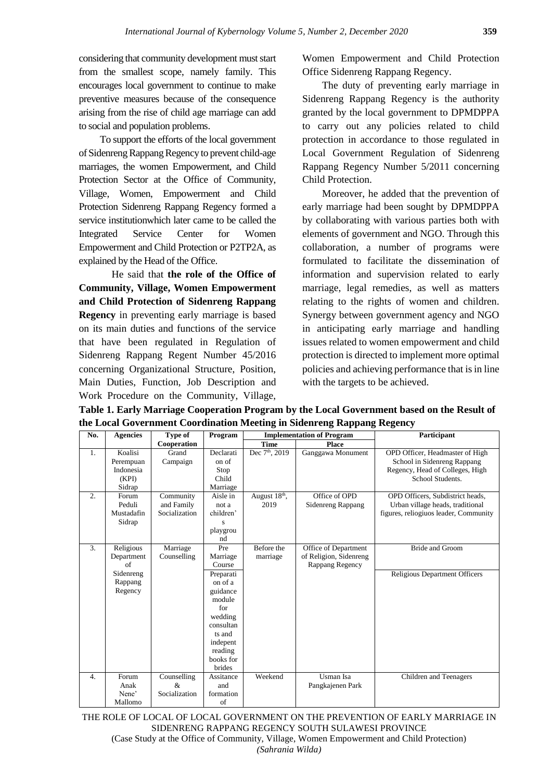considering that community development must start from the smallest scope, namely family. This encourages local government to continue to make preventive measures because of the consequence arising from the rise of child age marriage can add to social and population problems.

To support the efforts of the local government of Sidenreng Rappang Regency to prevent child-age marriages, the women Empowerment, and Child Protection Sector at the Office of Community, Village, Women, Empowerment and Child Protection Sidenreng Rappang Regency formed a service institutionwhich later came to be called the Integrated Service Center for Women Empowerment and Child Protection or P2TP2A, as explained by the Head of the Office.

He said that **the role of the Office of Community, Village, Women Empowerment and Child Protection of Sidenreng Rappang Regency** in preventing early marriage is based on its main duties and functions of the service that have been regulated in Regulation of Sidenreng Rappang Regent Number 45/2016 concerning Organizational Structure, Position, Main Duties, Function, Job Description and Work Procedure on the Community, Village,

Women Empowerment and Child Protection Office Sidenreng Rappang Regency.

The duty of preventing early marriage in Sidenreng Rappang Regency is the authority granted by the local government to DPMDPPA to carry out any policies related to child protection in accordance to those regulated in Local Government Regulation of Sidenreng Rappang Regency Number 5/2011 concerning Child Protection.

Moreover, he added that the prevention of early marriage had been sought by DPMDPPA by collaborating with various parties both with elements of government and NGO. Through this collaboration, a number of programs were formulated to facilitate the dissemination of information and supervision related to early marriage, legal remedies, as well as matters relating to the rights of women and children. Synergy between government agency and NGO in anticipating early marriage and handling issues related to women empowerment and child protection is directed to implement more optimal policies and achieving performance that is in line with the targets to be achieved.

**Table 1. Early Marriage Cooperation Program by the Local Government based on the Result of the Local Government Coordination Meeting in Sidenreng Rappang Regency**

| No. | <b>Agencies</b>                                                  | Type of                                  | Program                                                                                                                                                        | <b>Implementation of Program</b> |                                                                   | Participant                                                                                                           |
|-----|------------------------------------------------------------------|------------------------------------------|----------------------------------------------------------------------------------------------------------------------------------------------------------------|----------------------------------|-------------------------------------------------------------------|-----------------------------------------------------------------------------------------------------------------------|
|     |                                                                  | Cooperation                              |                                                                                                                                                                | <b>Time</b>                      | Place                                                             |                                                                                                                       |
| 1.  | Koalisi<br>Perempuan<br>Indonesia<br>(KPI)<br>Sidrap             | Grand<br>Campaign                        | Declarati<br>on of<br>Stop<br>Child<br>Marriage                                                                                                                | Dec 7 <sup>th</sup> , 2019       | Ganggawa Monument                                                 | OPD Officer, Headmaster of High<br>School in Sidenreng Rappang<br>Regency, Head of Colleges, High<br>School Students. |
| 2.  | Forum<br>Peduli<br>Mustadafin<br>Sidrap                          | Community<br>and Family<br>Socialization | Aisle in<br>not a<br>children'<br>S<br>playgrou<br>nd                                                                                                          | August 18th,<br>2019             | Office of OPD<br><b>Sidenreng Rappang</b>                         | OPD Officers, Subdistrict heads,<br>Urban village heads, traditional<br>figures, reliogiuos leader, Community         |
| 3.  | Religious<br>Department<br>of<br>Sidenreng<br>Rappang<br>Regency | Marriage<br>Counselling                  | Pre<br>Marriage<br>Course<br>Preparati<br>on of a<br>guidance<br>module<br>for<br>wedding<br>consultan<br>ts and<br>indepent<br>reading<br>books for<br>brides | Before the<br>marriage           | Office of Department<br>of Religion, Sidenreng<br>Rappang Regency | <b>Bride and Groom</b><br><b>Religious Department Officers</b>                                                        |
| 4.  | Forum<br>Anak<br>Nene'<br>Mallomo                                | Counselling<br>&<br>Socialization        | Assitance<br>and<br>formation<br>of                                                                                                                            | Weekend                          | Usman Isa<br>Pangkajenen Park                                     | Children and Teenagers                                                                                                |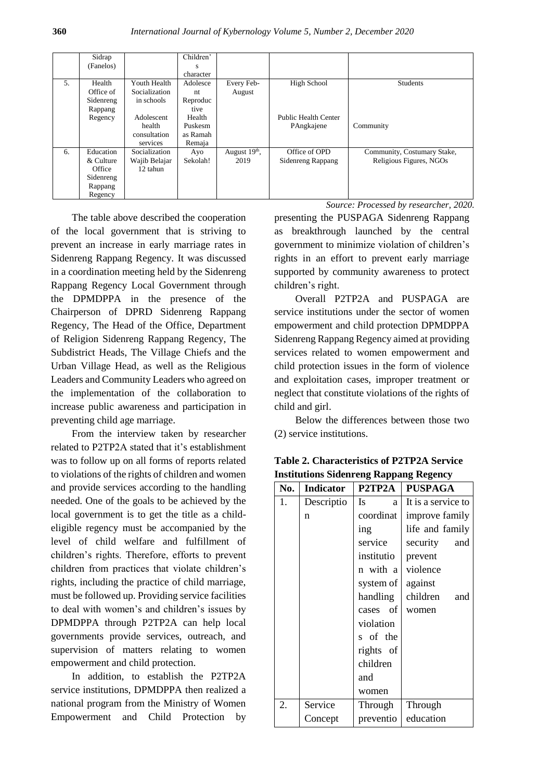|    | Sidrap                                                              |                                                  | Children'                                       |                         |                                    |                                                        |
|----|---------------------------------------------------------------------|--------------------------------------------------|-------------------------------------------------|-------------------------|------------------------------------|--------------------------------------------------------|
|    | (Fanelos)                                                           |                                                  | s<br>character                                  |                         |                                    |                                                        |
| 5. | Health<br>Office of<br>Sidenreng                                    | Youth Health<br>Socialization<br>in schools      | Adolesce<br>nt<br>Reproduc                      | Every Feb-<br>August    | High School                        | <b>Students</b>                                        |
|    | Rappang<br>Regency                                                  | Adolescent<br>health<br>consultation<br>services | tive<br>Health<br>Puskesm<br>as Ramah<br>Remaja |                         | Public Health Center<br>PAngkajene | Community                                              |
| 6. | Education<br>& Culture<br>Office<br>Sidenreng<br>Rappang<br>Regency | Socialization<br>Wajib Belajar<br>12 tahun       | Ayo<br>Sekolah!                                 | August $19th$ ,<br>2019 | Office of OPD<br>Sidenreng Rappang | Community, Costumary Stake,<br>Religious Figures, NGOs |

*Source: Processed by researcher, 2020.*

The table above described the cooperation of the local government that is striving to prevent an increase in early marriage rates in Sidenreng Rappang Regency. It was discussed in a coordination meeting held by the Sidenreng Rappang Regency Local Government through the DPMDPPA in the presence of the Chairperson of DPRD Sidenreng Rappang Regency, The Head of the Office, Department of Religion Sidenreng Rappang Regency, The Subdistrict Heads, The Village Chiefs and the Urban Village Head, as well as the Religious Leaders and Community Leaders who agreed on the implementation of the collaboration to increase public awareness and participation in preventing child age marriage.

From the interview taken by researcher related to P2TP2A stated that it's establishment was to follow up on all forms of reports related to violations of the rights of children and women and provide services according to the handling needed. One of the goals to be achieved by the local government is to get the title as a childeligible regency must be accompanied by the level of child welfare and fulfillment of children's rights. Therefore, efforts to prevent children from practices that violate children's rights, including the practice of child marriage, must be followed up. Providing service facilities to deal with women's and children's issues by DPMDPPA through P2TP2A can help local governments provide services, outreach, and supervision of matters relating to women empowerment and child protection.

In addition, to establish the P2TP2A service institutions, DPMDPPA then realized a national program from the Ministry of Women Empowerment and Child Protection by presenting the PUSPAGA Sidenreng Rappang as breakthrough launched by the central government to minimize violation of children's rights in an effort to prevent early marriage supported by community awareness to protect children's right.

Overall P2TP2A and PUSPAGA are service institutions under the sector of women empowerment and child protection DPMDPPA Sidenreng Rappang Regency aimed at providing services related to women empowerment and child protection issues in the form of violence and exploitation cases, improper treatment or neglect that constitute violations of the rights of child and girl.

Below the differences between those two (2) service institutions.

| No. | <b>Indicator</b> | P2TP2A         | <b>PUSPAGA</b>     |
|-----|------------------|----------------|--------------------|
| 1.  | Descriptio       | <b>Is</b><br>a | It is a service to |
|     | n                | coordinat      | improve family     |
|     |                  | ing            | life and family    |
|     |                  | service        | security<br>and    |
|     |                  | institutio     | prevent            |
|     |                  | n with a       | violence           |
|     |                  | system of      | against            |
|     |                  | handling       | children<br>and    |
|     |                  | of<br>cases    | women              |
|     |                  | violation      |                    |
|     |                  | s of the       |                    |
|     |                  | rights of      |                    |
|     |                  | children       |                    |
|     |                  | and            |                    |
|     |                  | women          |                    |
| 2.  | Service          | Through        | Through            |
|     | Concept          | preventio      | education          |

**Table 2. Characteristics of P2TP2A Service Institutions Sidenreng Rappang Regency**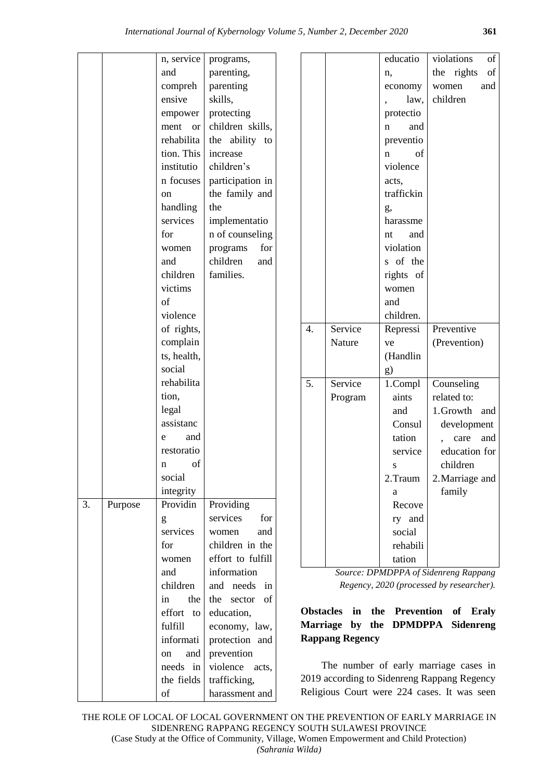|    |         | n, service  | programs,         |                  |        |                        | educatio          | of<br>violations                                                                                                 |
|----|---------|-------------|-------------------|------------------|--------|------------------------|-------------------|------------------------------------------------------------------------------------------------------------------|
|    |         | and         | parenting,        |                  |        |                        | n,                | $% \left( \left( \mathcal{A},\mathcal{A}\right) \right) =\left( \mathcal{A},\mathcal{A}\right)$ of<br>the rights |
|    |         | compreh     | parenting         |                  |        |                        | economy           | women<br>and                                                                                                     |
|    |         | ensive      | skills,           |                  |        |                        | law,              | children                                                                                                         |
|    |         | empower     | protecting        |                  |        |                        | protectio         |                                                                                                                  |
|    |         | ment<br>or  | children skills,  |                  |        |                        | and<br>n          |                                                                                                                  |
|    |         | rehabilita  | the ability to    |                  |        |                        | preventio         |                                                                                                                  |
|    |         | tion. This  | increase          |                  |        |                        | of<br>n           |                                                                                                                  |
|    |         | institutio  | children's        |                  |        |                        | violence          |                                                                                                                  |
|    |         | n focuses   | participation in  |                  |        |                        | acts,             |                                                                                                                  |
|    |         | on          | the family and    |                  |        |                        | traffickin        |                                                                                                                  |
|    |         | handling    | the               |                  |        |                        | g,                |                                                                                                                  |
|    |         | services    | implementatio     |                  |        |                        | harassme          |                                                                                                                  |
|    |         | for         | n of counseling   |                  |        |                        | and<br>nt         |                                                                                                                  |
|    |         | women       | for<br>programs   |                  |        |                        | violation         |                                                                                                                  |
|    |         | and         | children<br>and   |                  |        |                        | s of the          |                                                                                                                  |
|    |         | children    | families.         |                  |        |                        | rights of         |                                                                                                                  |
|    |         | victims     |                   |                  |        |                        | women             |                                                                                                                  |
|    |         | of          |                   |                  |        |                        | and               |                                                                                                                  |
|    |         | violence    |                   |                  |        |                        | children.         |                                                                                                                  |
|    |         | of rights,  |                   | $\overline{4}$ . |        | Service                | Repressi          | Preventive                                                                                                       |
|    |         | complain    |                   |                  | Nature |                        | ve                | (Prevention)                                                                                                     |
|    |         | ts, health, |                   |                  |        |                        | (Handlin          |                                                                                                                  |
|    |         | social      |                   |                  |        |                        | g)                |                                                                                                                  |
|    |         | rehabilita  |                   | 5.               |        | Service                | 1.Compl           | Counseling                                                                                                       |
|    |         | tion,       |                   |                  |        | Program                | aints             | related to:                                                                                                      |
|    |         | legal       |                   |                  |        |                        | and               | 1.Growth and                                                                                                     |
|    |         | assistanc   |                   |                  |        |                        | Consul            | development                                                                                                      |
|    |         | and<br>e    |                   |                  |        |                        | tation            | and<br>care                                                                                                      |
|    |         | restoratio  |                   |                  |        |                        | service           | education for                                                                                                    |
|    |         | of<br>n     |                   |                  |        |                        | S                 | children                                                                                                         |
|    |         | social      |                   |                  |        |                        | 2. Traum          | 2. Marriage and                                                                                                  |
|    |         | integrity   |                   |                  |        |                        | a                 | family                                                                                                           |
| 3. | Purpose | Providin    | Providing         |                  |        |                        | Recove            |                                                                                                                  |
|    |         | g           | services<br>for   |                  |        |                        | ry and            |                                                                                                                  |
|    |         | services    | women<br>and      |                  |        |                        | social            |                                                                                                                  |
|    |         | for         | children in the   |                  |        |                        | rehabili          |                                                                                                                  |
|    |         | women       | effort to fulfill |                  |        |                        | tation            |                                                                                                                  |
|    |         | and         | information       |                  |        |                        |                   | Source: DPMDPPA of Sidenreng Rappang                                                                             |
|    |         | children    | and needs<br>in   |                  |        |                        |                   | Regency, 2020 (processed by researcher).                                                                         |
|    |         | in<br>the   | the sector<br>of  |                  |        |                        |                   |                                                                                                                  |
|    |         | effort to   | education,        | <b>Obstacles</b> |        |                        | in the Prevention | of<br><b>Eraly</b>                                                                                               |
|    |         | fulfill     | economy, law,     | <b>Marriage</b>  |        |                        | by the DPMDPPA    | <b>Sidenreng</b>                                                                                                 |
|    |         | informati   | protection and    |                  |        | <b>Rappang Regency</b> |                   |                                                                                                                  |
|    |         | and<br>on   | prevention        |                  |        |                        |                   |                                                                                                                  |
|    |         | needs in    | violence acts,    |                  |        |                        |                   | The number of early marriage cases in                                                                            |
|    |         | the fields  | trafficking,      |                  |        |                        |                   | 2019 according to Sidenreng Rappang Regency                                                                      |
|    |         | of          | harassment and    |                  |        |                        |                   | Religious Court were 224 cases. It was seen                                                                      |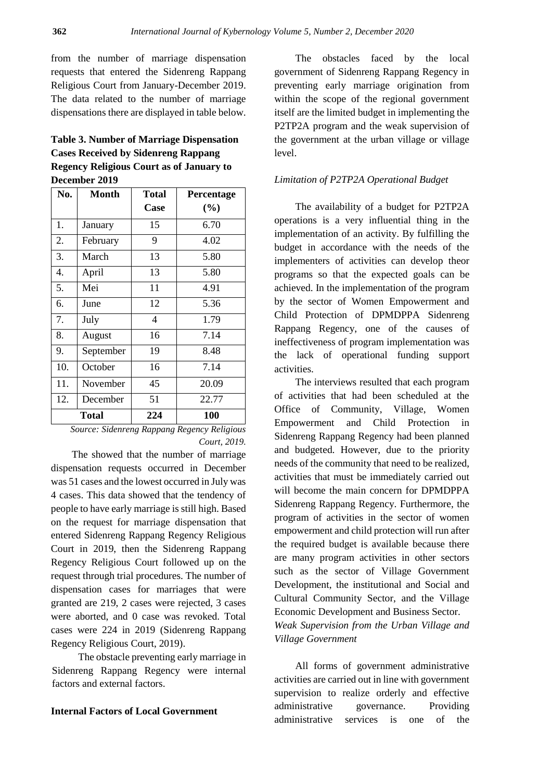from the number of marriage dispensation requests that entered the Sidenreng Rappang Religious Court from January-December 2019. The data related to the number of marriage dispensations there are displayed in table below.

## **Table 3. Number of Marriage Dispensation Cases Received by Sidenreng Rappang Regency Religious Court as of January to December 2019**

| No. | Month     | <b>Total</b>   | Percentage |  |
|-----|-----------|----------------|------------|--|
|     |           | Case           | (%)        |  |
| 1.  | January   | 15             | 6.70       |  |
| 2.  | February  | 9              | 4.02       |  |
| 3.  | March     | 13             | 5.80       |  |
| 4.  | April     | 13             | 5.80       |  |
| 5.  | Mei       | 11             | 4.91       |  |
| 6.  | June      | 12             | 5.36       |  |
| 7.  | July      | $\overline{4}$ | 1.79       |  |
| 8.  | August    | 16             | 7.14       |  |
| 9.  | September | 19             | 8.48       |  |
| 10. | October   | 16             | 7.14       |  |
| 11. | November  | 45             | 20.09      |  |
| 12. | December  | 51             | 22.77      |  |
|     | Total     | 224            | 100        |  |

*Source: Sidenreng Rappang Regency Religious Court, 2019.*

The showed that the number of marriage dispensation requests occurred in December was 51 cases and the lowest occurred in July was 4 cases. This data showed that the tendency of people to have early marriage is still high. Based on the request for marriage dispensation that entered Sidenreng Rappang Regency Religious Court in 2019, then the Sidenreng Rappang Regency Religious Court followed up on the request through trial procedures. The number of dispensation cases for marriages that were granted are 219, 2 cases were rejected, 3 cases were aborted, and 0 case was revoked. Total cases were 224 in 2019 (Sidenreng Rappang Regency Religious Court, 2019).

The obstacle preventing early marriage in Sidenreng Rappang Regency were internal factors and external factors.

#### **Internal Factors of Local Government**

The obstacles faced by the local government of Sidenreng Rappang Regency in preventing early marriage origination from within the scope of the regional government itself are the limited budget in implementing the P2TP2A program and the weak supervision of the government at the urban village or village level.

#### *Limitation of P2TP2A Operational Budget*

The availability of a budget for P2TP2A operations is a very influential thing in the implementation of an activity. By fulfilling the budget in accordance with the needs of the implementers of activities can develop theor programs so that the expected goals can be achieved. In the implementation of the program by the sector of Women Empowerment and Child Protection of DPMDPPA Sidenreng Rappang Regency, one of the causes of ineffectiveness of program implementation was the lack of operational funding support activities.

The interviews resulted that each program of activities that had been scheduled at the Office of Community, Village, Women Empowerment and Child Protection in Sidenreng Rappang Regency had been planned and budgeted. However, due to the priority needs of the community that need to be realized, activities that must be immediately carried out will become the main concern for DPMDPPA Sidenreng Rappang Regency. Furthermore, the program of activities in the sector of women empowerment and child protection will run after the required budget is available because there are many program activities in other sectors such as the sector of Village Government Development, the institutional and Social and Cultural Community Sector, and the Village Economic Development and Business Sector. *Weak Supervision from the Urban Village and Village Government*

All forms of government administrative activities are carried out in line with government supervision to realize orderly and effective administrative governance. Providing administrative services is one of the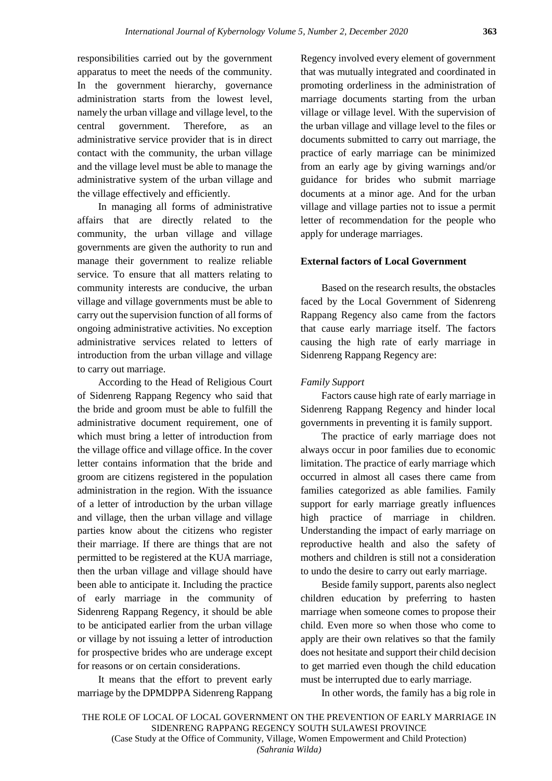responsibilities carried out by the government apparatus to meet the needs of the community. In the government hierarchy, governance administration starts from the lowest level, namely the urban village and village level, to the central government. Therefore, as an administrative service provider that is in direct contact with the community, the urban village and the village level must be able to manage the administrative system of the urban village and the village effectively and efficiently.

In managing all forms of administrative affairs that are directly related to the community, the urban village and village governments are given the authority to run and manage their government to realize reliable service. To ensure that all matters relating to community interests are conducive, the urban village and village governments must be able to carry out the supervision function of all forms of ongoing administrative activities. No exception administrative services related to letters of introduction from the urban village and village to carry out marriage.

According to the Head of Religious Court of Sidenreng Rappang Regency who said that the bride and groom must be able to fulfill the administrative document requirement, one of which must bring a letter of introduction from the village office and village office. In the cover letter contains information that the bride and groom are citizens registered in the population administration in the region. With the issuance of a letter of introduction by the urban village and village, then the urban village and village parties know about the citizens who register their marriage. If there are things that are not permitted to be registered at the KUA marriage, then the urban village and village should have been able to anticipate it. Including the practice of early marriage in the community of Sidenreng Rappang Regency, it should be able to be anticipated earlier from the urban village or village by not issuing a letter of introduction for prospective brides who are underage except for reasons or on certain considerations.

It means that the effort to prevent early marriage by the DPMDPPA Sidenreng Rappang Regency involved every element of government that was mutually integrated and coordinated in promoting orderliness in the administration of marriage documents starting from the urban village or village level. With the supervision of the urban village and village level to the files or documents submitted to carry out marriage, the practice of early marriage can be minimized from an early age by giving warnings and/or guidance for brides who submit marriage documents at a minor age. And for the urban village and village parties not to issue a permit letter of recommendation for the people who apply for underage marriages.

#### **External factors of Local Government**

Based on the research results, the obstacles faced by the Local Government of Sidenreng Rappang Regency also came from the factors that cause early marriage itself. The factors causing the high rate of early marriage in Sidenreng Rappang Regency are:

#### *Family Support*

Factors cause high rate of early marriage in Sidenreng Rappang Regency and hinder local governments in preventing it is family support.

The practice of early marriage does not always occur in poor families due to economic limitation. The practice of early marriage which occurred in almost all cases there came from families categorized as able families. Family support for early marriage greatly influences high practice of marriage in children. Understanding the impact of early marriage on reproductive health and also the safety of mothers and children is still not a consideration to undo the desire to carry out early marriage.

Beside family support, parents also neglect children education by preferring to hasten marriage when someone comes to propose their child. Even more so when those who come to apply are their own relatives so that the family does not hesitate and support their child decision to get married even though the child education must be interrupted due to early marriage.

In other words, the family has a big role in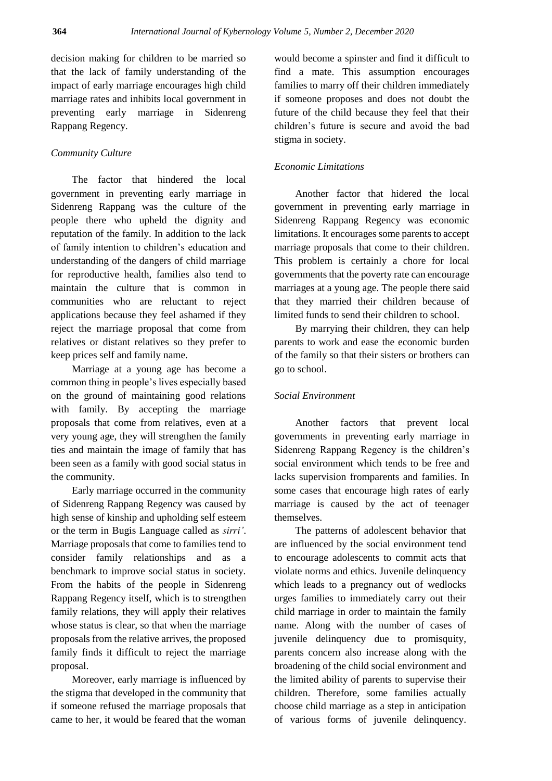decision making for children to be married so that the lack of family understanding of the impact of early marriage encourages high child marriage rates and inhibits local government in preventing early marriage in Sidenreng Rappang Regency.

## *Community Culture*

The factor that hindered the local government in preventing early marriage in Sidenreng Rappang was the culture of the people there who upheld the dignity and reputation of the family. In addition to the lack of family intention to children's education and understanding of the dangers of child marriage for reproductive health, families also tend to maintain the culture that is common in communities who are reluctant to reject applications because they feel ashamed if they reject the marriage proposal that come from relatives or distant relatives so they prefer to keep prices self and family name.

Marriage at a young age has become a common thing in people's lives especially based on the ground of maintaining good relations with family. By accepting the marriage proposals that come from relatives, even at a very young age, they will strengthen the family ties and maintain the image of family that has been seen as a family with good social status in the community.

Early marriage occurred in the community of Sidenreng Rappang Regency was caused by high sense of kinship and upholding self esteem or the term in Bugis Language called as *sirri'*. Marriage proposals that come to families tend to consider family relationships and as a benchmark to improve social status in society. From the habits of the people in Sidenreng Rappang Regency itself, which is to strengthen family relations, they will apply their relatives whose status is clear, so that when the marriage proposals from the relative arrives, the proposed family finds it difficult to reject the marriage proposal.

Moreover, early marriage is influenced by the stigma that developed in the community that if someone refused the marriage proposals that came to her, it would be feared that the woman would become a spinster and find it difficult to find a mate. This assumption encourages families to marry off their children immediately if someone proposes and does not doubt the future of the child because they feel that their children's future is secure and avoid the bad stigma in society.

## *Economic Limitations*

Another factor that hidered the local government in preventing early marriage in Sidenreng Rappang Regency was economic limitations. It encourages some parents to accept marriage proposals that come to their children. This problem is certainly a chore for local governments that the poverty rate can encourage marriages at a young age. The people there said that they married their children because of limited funds to send their children to school.

By marrying their children, they can help parents to work and ease the economic burden of the family so that their sisters or brothers can go to school.

## *Social Environment*

Another factors that prevent local governments in preventing early marriage in Sidenreng Rappang Regency is the children's social environment which tends to be free and lacks supervision fromparents and families. In some cases that encourage high rates of early marriage is caused by the act of teenager themselves.

The patterns of adolescent behavior that are influenced by the social environment tend to encourage adolescents to commit acts that violate norms and ethics. Juvenile delinquency which leads to a pregnancy out of wedlocks urges families to immediately carry out their child marriage in order to maintain the family name. Along with the number of cases of juvenile delinquency due to promisquity, parents concern also increase along with the broadening of the child social environment and the limited ability of parents to supervise their children. Therefore, some families actually choose child marriage as a step in anticipation of various forms of juvenile delinquency.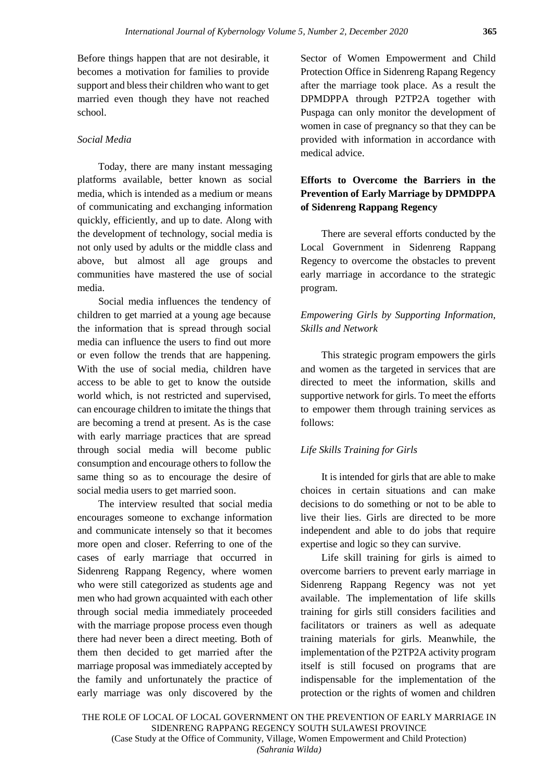Before things happen that are not desirable, it becomes a motivation for families to provide support and bless their children who want to get married even though they have not reached school.

## *Social Media*

Today, there are many instant messaging platforms available, better known as social media, which is intended as a medium or means of communicating and exchanging information quickly, efficiently, and up to date. Along with the development of technology, social media is not only used by adults or the middle class and above, but almost all age groups and communities have mastered the use of social media.

Social media influences the tendency of children to get married at a young age because the information that is spread through social media can influence the users to find out more or even follow the trends that are happening. With the use of social media, children have access to be able to get to know the outside world which, is not restricted and supervised, can encourage children to imitate the things that are becoming a trend at present. As is the case with early marriage practices that are spread through social media will become public consumption and encourage others to follow the same thing so as to encourage the desire of social media users to get married soon.

The interview resulted that social media encourages someone to exchange information and communicate intensely so that it becomes more open and closer. Referring to one of the cases of early marriage that occurred in Sidenreng Rappang Regency, where women who were still categorized as students age and men who had grown acquainted with each other through social media immediately proceeded with the marriage propose process even though there had never been a direct meeting. Both of them then decided to get married after the marriage proposal was immediately accepted by the family and unfortunately the practice of early marriage was only discovered by the Sector of Women Empowerment and Child Protection Office in Sidenreng Rapang Regency after the marriage took place. As a result the DPMDPPA through P2TP2A together with Puspaga can only monitor the development of women in case of pregnancy so that they can be provided with information in accordance with medical advice.

## **Efforts to Overcome the Barriers in the Prevention of Early Marriage by DPMDPPA of Sidenreng Rappang Regency**

There are several efforts conducted by the Local Government in Sidenreng Rappang Regency to overcome the obstacles to prevent early marriage in accordance to the strategic program.

## *Empowering Girls by Supporting Information, Skills and Network*

This strategic program empowers the girls and women as the targeted in services that are directed to meet the information, skills and supportive network for girls. To meet the efforts to empower them through training services as follows:

## *Life Skills Training for Girls*

It is intended for girls that are able to make choices in certain situations and can make decisions to do something or not to be able to live their lies. Girls are directed to be more independent and able to do jobs that require expertise and logic so they can survive.

Life skill training for girls is aimed to overcome barriers to prevent early marriage in Sidenreng Rappang Regency was not yet available. The implementation of life skills training for girls still considers facilities and facilitators or trainers as well as adequate training materials for girls. Meanwhile, the implementation of the P2TP2A activity program itself is still focused on programs that are indispensable for the implementation of the protection or the rights of women and children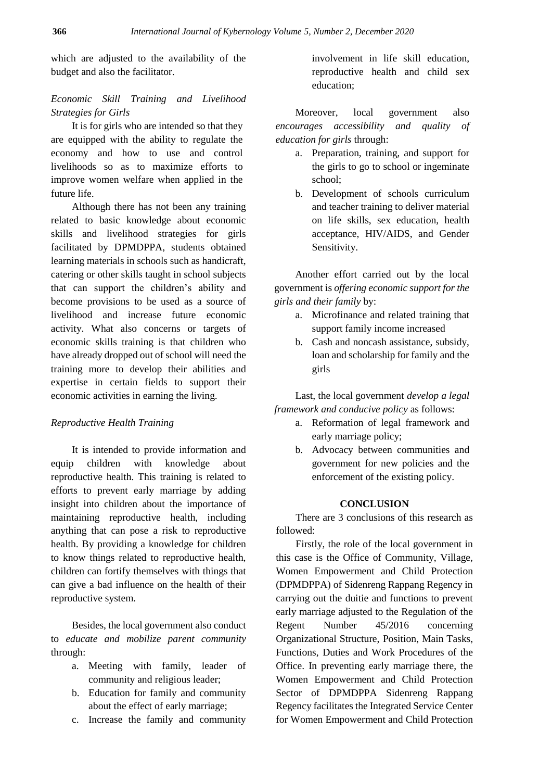which are adjusted to the availability of the budget and also the facilitator.

## *Economic Skill Training and Livelihood Strategies for Girls*

It is for girls who are intended so that they are equipped with the ability to regulate the economy and how to use and control livelihoods so as to maximize efforts to improve women welfare when applied in the future life.

Although there has not been any training related to basic knowledge about economic skills and livelihood strategies for girls facilitated by DPMDPPA, students obtained learning materials in schools such as handicraft, catering or other skills taught in school subjects that can support the children's ability and become provisions to be used as a source of livelihood and increase future economic activity. What also concerns or targets of economic skills training is that children who have already dropped out of school will need the training more to develop their abilities and expertise in certain fields to support their economic activities in earning the living.

## *Reproductive Health Training*

It is intended to provide information and equip children with knowledge about reproductive health. This training is related to efforts to prevent early marriage by adding insight into children about the importance of maintaining reproductive health, including anything that can pose a risk to reproductive health. By providing a knowledge for children to know things related to reproductive health, children can fortify themselves with things that can give a bad influence on the health of their reproductive system.

Besides, the local government also conduct to *educate and mobilize parent community* through:

- a. Meeting with family, leader of community and religious leader;
- b. Education for family and community about the effect of early marriage;
- c. Increase the family and community

involvement in life skill education, reproductive health and child sex education;

Moreover, local government also *encourages accessibility and quality of education for girls* through:

- a. Preparation, training, and support for the girls to go to school or ingeminate school;
- b. Development of schools curriculum and teacher training to deliver material on life skills, sex education, health acceptance, HIV/AIDS, and Gender Sensitivity.

Another effort carried out by the local government is *offering economic support for the girls and their family* by:

- a. Microfinance and related training that support family income increased
- b. Cash and noncash assistance, subsidy, loan and scholarship for family and the girls

Last, the local government *develop a legal framework and conducive policy* as follows:

- a. Reformation of legal framework and early marriage policy;
- b. Advocacy between communities and government for new policies and the enforcement of the existing policy.

#### **CONCLUSION**

There are 3 conclusions of this research as followed:

Firstly, the role of the local government in this case is the Office of Community, Village, Women Empowerment and Child Protection (DPMDPPA) of Sidenreng Rappang Regency in carrying out the duitie and functions to prevent early marriage adjusted to the Regulation of the Regent Number 45/2016 concerning Organizational Structure, Position, Main Tasks, Functions, Duties and Work Procedures of the Office. In preventing early marriage there, the Women Empowerment and Child Protection Sector of DPMDPPA Sidenreng Rappang Regency facilitates the Integrated Service Center for Women Empowerment and Child Protection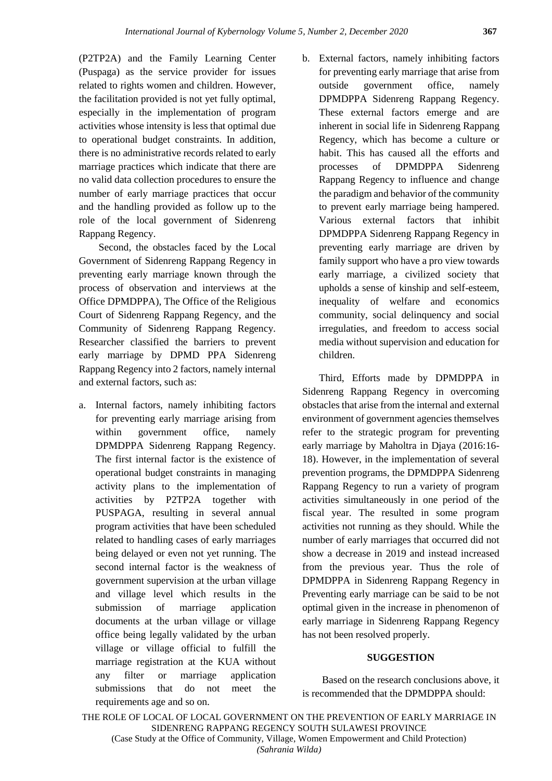(P2TP2A) and the Family Learning Center (Puspaga) as the service provider for issues related to rights women and children. However, the facilitation provided is not yet fully optimal, especially in the implementation of program activities whose intensity is less that optimal due to operational budget constraints. In addition, there is no administrative records related to early marriage practices which indicate that there are no valid data collection procedures to ensure the number of early marriage practices that occur and the handling provided as follow up to the role of the local government of Sidenreng Rappang Regency.

Second, the obstacles faced by the Local Government of Sidenreng Rappang Regency in preventing early marriage known through the process of observation and interviews at the Office DPMDPPA), The Office of the Religious Court of Sidenreng Rappang Regency, and the Community of Sidenreng Rappang Regency. Researcher classified the barriers to prevent early marriage by DPMD PPA Sidenreng Rappang Regency into 2 factors, namely internal and external factors, such as:

- a. Internal factors, namely inhibiting factors for preventing early marriage arising from within government office, namely DPMDPPA Sidenreng Rappang Regency. The first internal factor is the existence of operational budget constraints in managing activity plans to the implementation of activities by P2TP2A together with PUSPAGA, resulting in several annual program activities that have been scheduled related to handling cases of early marriages being delayed or even not yet running. The second internal factor is the weakness of government supervision at the urban village and village level which results in the submission of marriage application documents at the urban village or village office being legally validated by the urban village or village official to fulfill the marriage registration at the KUA without any filter or marriage application submissions that do not meet the requirements age and so on.
- b. External factors, namely inhibiting factors for preventing early marriage that arise from outside government office, namely DPMDPPA Sidenreng Rappang Regency. These external factors emerge and are inherent in social life in Sidenreng Rappang Regency, which has become a culture or habit. This has caused all the efforts and processes of DPMDPPA Sidenreng Rappang Regency to influence and change the paradigm and behavior of the community to prevent early marriage being hampered. Various external factors that inhibit DPMDPPA Sidenreng Rappang Regency in preventing early marriage are driven by family support who have a pro view towards early marriage, a civilized society that upholds a sense of kinship and self-esteem, inequality of welfare and economics community, social delinquency and social irregulaties, and freedom to access social media without supervision and education for children.

Third, Efforts made by DPMDPPA in Sidenreng Rappang Regency in overcoming obstacles that arise from the internal and external environment of government agencies themselves refer to the strategic program for preventing early marriage by Maholtra in Djaya (2016:16- 18). However, in the implementation of several prevention programs, the DPMDPPA Sidenreng Rappang Regency to run a variety of program activities simultaneously in one period of the fiscal year. The resulted in some program activities not running as they should. While the number of early marriages that occurred did not show a decrease in 2019 and instead increased from the previous year. Thus the role of DPMDPPA in Sidenreng Rappang Regency in Preventing early marriage can be said to be not optimal given in the increase in phenomenon of early marriage in Sidenreng Rappang Regency has not been resolved properly.

## **SUGGESTION**

Based on the research conclusions above, it is recommended that the DPMDPPA should: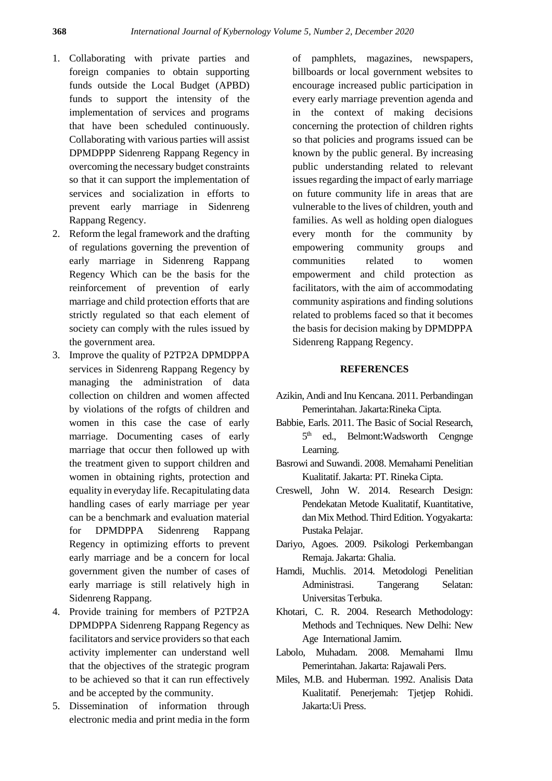- 1. Collaborating with private parties and foreign companies to obtain supporting funds outside the Local Budget (APBD) funds to support the intensity of the implementation of services and programs that have been scheduled continuously. Collaborating with various parties will assist DPMDPPP Sidenreng Rappang Regency in overcoming the necessary budget constraints so that it can support the implementation of services and socialization in efforts to prevent early marriage in Sidenreng Rappang Regency.
- 2. Reform the legal framework and the drafting of regulations governing the prevention of early marriage in Sidenreng Rappang Regency Which can be the basis for the reinforcement of prevention of early marriage and child protection efforts that are strictly regulated so that each element of society can comply with the rules issued by the government area.
- 3. Improve the quality of P2TP2A DPMDPPA services in Sidenreng Rappang Regency by managing the administration of data collection on children and women affected by violations of the rofgts of children and women in this case the case of early marriage. Documenting cases of early marriage that occur then followed up with the treatment given to support children and women in obtaining rights, protection and equality in everyday life. Recapitulating data handling cases of early marriage per year can be a benchmark and evaluation material for DPMDPPA Sidenreng Rappang Regency in optimizing efforts to prevent early marriage and be a concern for local government given the number of cases of early marriage is still relatively high in Sidenreng Rappang.
- 4. Provide training for members of P2TP2A DPMDPPA Sidenreng Rappang Regency as facilitators and service providers so that each activity implementer can understand well that the objectives of the strategic program to be achieved so that it can run effectively and be accepted by the community.
- 5. Dissemination of information through electronic media and print media in the form

of pamphlets, magazines, newspapers, billboards or local government websites to encourage increased public participation in every early marriage prevention agenda and in the context of making decisions concerning the protection of children rights so that policies and programs issued can be known by the public general. By increasing public understanding related to relevant issues regarding the impact of early marriage on future community life in areas that are vulnerable to the lives of children, youth and families. As well as holding open dialogues every month for the community by empowering community groups and communities related to women empowerment and child protection as facilitators, with the aim of accommodating community aspirations and finding solutions related to problems faced so that it becomes the basis for decision making by DPMDPPA Sidenreng Rappang Regency.

### **REFERENCES**

- Azikin, Andi and Inu Kencana. 2011. Perbandingan Pemerintahan. Jakarta:Rineka Cipta.
- Babbie, Earls. 2011. The Basic of Social Research, 5<sup>th</sup> ed., Belmont: Wadsworth Cengnge Learning.
- Basrowi and Suwandi. 2008. Memahami Penelitian Kualitatif. Jakarta: PT. Rineka Cipta.
- Creswell, John W. 2014. Research Design: Pendekatan Metode Kualitatif, Kuantitative, dan Mix Method. Third Edition. Yogyakarta: Pustaka Pelajar.
- Dariyo, Agoes. 2009. Psikologi Perkembangan Remaja. Jakarta: Ghalia.
- Hamdi, Muchlis. 2014. Metodologi Penelitian Administrasi. Tangerang Selatan: Universitas Terbuka.
- Khotari, C. R. 2004. Research Methodology: Methods and Techniques. New Delhi: New Age International Jamim.
- Labolo, Muhadam. 2008. Memahami Ilmu Pemerintahan. Jakarta: Rajawali Pers.
- Miles, M.B. and Huberman. 1992. Analisis Data Kualitatif. Penerjemah: Tjetjep Rohidi. Jakarta:Ui Press.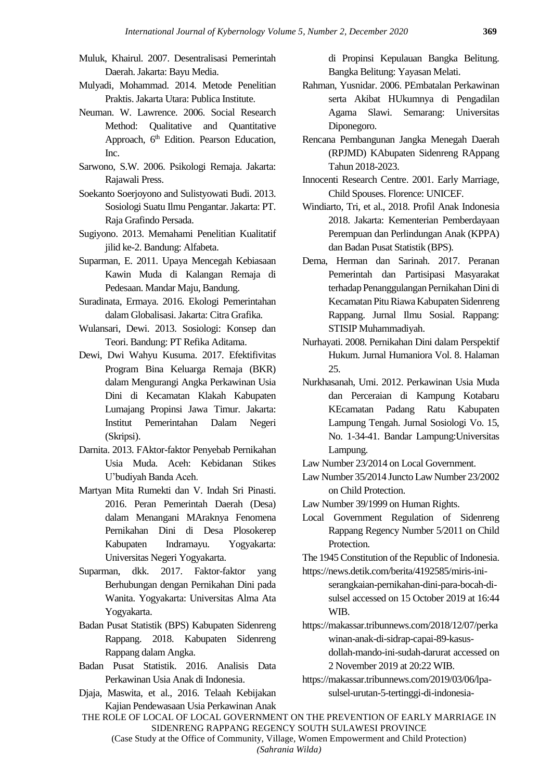- Muluk, Khairul. 2007. Desentralisasi Pemerintah Daerah. Jakarta: Bayu Media.
- Mulyadi, Mohammad. 2014. Metode Penelitian Praktis. Jakarta Utara: Publica Institute.
- Neuman. W. Lawrence. 2006. Social Research Method: Qualitative and Quantitative Approach, 6<sup>th</sup> Edition. Pearson Education, Inc.
- Sarwono, S.W. 2006. Psikologi Remaja. Jakarta: Rajawali Press.
- Soekanto Soerjoyono and Sulistyowati Budi. 2013. Sosiologi Suatu Ilmu Pengantar. Jakarta: PT. Raja Grafindo Persada.
- Sugiyono. 2013. Memahami Penelitian Kualitatif jilid ke-2. Bandung: Alfabeta.
- Suparman, E. 2011. Upaya Mencegah Kebiasaan Kawin Muda di Kalangan Remaja di Pedesaan. Mandar Maju, Bandung.
- Suradinata, Ermaya. 2016. Ekologi Pemerintahan dalam Globalisasi. Jakarta: Citra Grafika.
- Wulansari, Dewi. 2013. Sosiologi: Konsep dan Teori. Bandung: PT Refika Aditama.
- Dewi, Dwi Wahyu Kusuma. 2017. Efektifivitas Program Bina Keluarga Remaja (BKR) dalam Mengurangi Angka Perkawinan Usia Dini di Kecamatan Klakah Kabupaten Lumajang Propinsi Jawa Timur. Jakarta: Institut Pemerintahan Dalam Negeri (Skripsi).
- Darnita. 2013. FAktor-faktor Penyebab Pernikahan Usia Muda. Aceh: Kebidanan Stikes U'budiyah Banda Aceh.
- Martyan Mita Rumekti dan V. Indah Sri Pinasti. 2016. Peran Pemerintah Daerah (Desa) dalam Menangani MAraknya Fenomena Pernikahan Dini di Desa Plosokerep Kabupaten Indramayu. Yogyakarta: Universitas Negeri Yogyakarta.
- Suparman, dkk. 2017. Faktor-faktor yang Berhubungan dengan Pernikahan Dini pada Wanita. Yogyakarta: Universitas Alma Ata Yogyakarta.
- Badan Pusat Statistik (BPS) Kabupaten Sidenreng Rappang. 2018. Kabupaten Sidenreng Rappang dalam Angka.
- Badan Pusat Statistik. 2016. Analisis Data Perkawinan Usia Anak di Indonesia.
- Djaja, Maswita, et al., 2016. Telaah Kebijakan Kajian Pendewasaan Usia Perkawinan Anak

di Propinsi Kepulauan Bangka Belitung. Bangka Belitung: Yayasan Melati.

- Rahman, Yusnidar. 2006. PEmbatalan Perkawinan serta Akibat HUkumnya di Pengadilan Agama Slawi. Semarang: Universitas Diponegoro.
- Rencana Pembangunan Jangka Menegah Daerah (RPJMD) KAbupaten Sidenreng RAppang Tahun 2018-2023.
- Innocenti Research Centre. 2001. Early Marriage, Child Spouses. Florence: UNICEF.
- Windiarto, Tri, et al., 2018. Profil Anak Indonesia 2018. Jakarta: Kementerian Pemberdayaan Perempuan dan Perlindungan Anak (KPPA) dan Badan Pusat Statistik (BPS).
- Dema, Herman dan Sarinah. 2017. Peranan Pemerintah dan Partisipasi Masyarakat terhadap Penanggulangan Pernikahan Dini di Kecamatan Pitu Riawa Kabupaten Sidenreng Rappang. Jurnal Ilmu Sosial. Rappang: STISIP Muhammadiyah.
- Nurhayati. 2008. Pernikahan Dini dalam Perspektif Hukum. Jurnal Humaniora Vol. 8. Halaman 25.
- Nurkhasanah, Umi. 2012. Perkawinan Usia Muda dan Perceraian di Kampung Kotabaru KEcamatan Padang Ratu Kabupaten Lampung Tengah. Jurnal Sosiologi Vo. 15, No. 1-34-41. Bandar Lampung:Universitas Lampung.

Law Number 23/2014 on Local Government.

Law Number 35/2014 Juncto Law Number 23/2002 on Child Protection.

Law Number 39/1999 on Human Rights.

- Local Government Regulation of Sidenreng Rappang Regency Number 5/2011 on Child Protection.
- The 1945 Constitution of the Republic of Indonesia. [https://news.detik.com/berita/4192585/miris-ini-](https://news.detik.com/berita/4192585/miris-ini-serangkaian-pernikahan-dini-para-bocah-di-sulsel)

[serangkaian-pernikahan-dini-para-bocah-di](https://news.detik.com/berita/4192585/miris-ini-serangkaian-pernikahan-dini-para-bocah-di-sulsel)[sulsel](https://news.detik.com/berita/4192585/miris-ini-serangkaian-pernikahan-dini-para-bocah-di-sulsel) accessed on 15 October 2019 at 16:44 WIB.

[https://makassar.tribunnews.com/2018/12/07/perka](https://makassar.tribunnews.com/2018/12/07/perkawinan-anak-di-sidrap-capai-89-kasus-dollah-mando-ini-sudah-darurat) [winan-anak-di-sidrap-capai-89-kasus](https://makassar.tribunnews.com/2018/12/07/perkawinan-anak-di-sidrap-capai-89-kasus-dollah-mando-ini-sudah-darurat)[dollah-mando-ini-sudah-darurat](https://makassar.tribunnews.com/2018/12/07/perkawinan-anak-di-sidrap-capai-89-kasus-dollah-mando-ini-sudah-darurat) accessed on

2 November 2019 at 20:22 WIB. [https://makassar.tribunnews.com/2019/03/06/lpa-](https://makassar.tribunnews.com/2019/03/06/lpa-sulsel-urutan-5-tertinggi-di-indonesia-pernikahan-anak-di-bawah-umur)

[sulsel-urutan-5-tertinggi-di-indonesia-](https://makassar.tribunnews.com/2019/03/06/lpa-sulsel-urutan-5-tertinggi-di-indonesia-pernikahan-anak-di-bawah-umur)